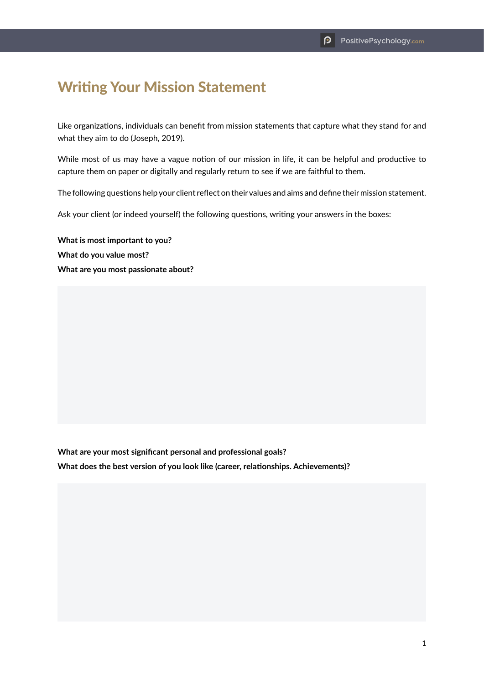## Writing Your Mission Statement

Like organizations, individuals can benefit from mission statements that capture what they stand for and what they aim to do (Joseph, 2019).

While most of us may have a vague notion of our mission in life, it can be helpful and productive to capture them on paper or digitally and regularly return to see if we are faithful to them.

The following questions help your client reflect on their values and aims and define their mission statement.

Ask your client (or indeed yourself) the following questions, writing your answers in the boxes:

**What is most important to you? What do you value most? What are you most passionate about?**

**What are your most significant personal and professional goals?**

**What does the best version of you look like (career, relationships. Achievements)?**